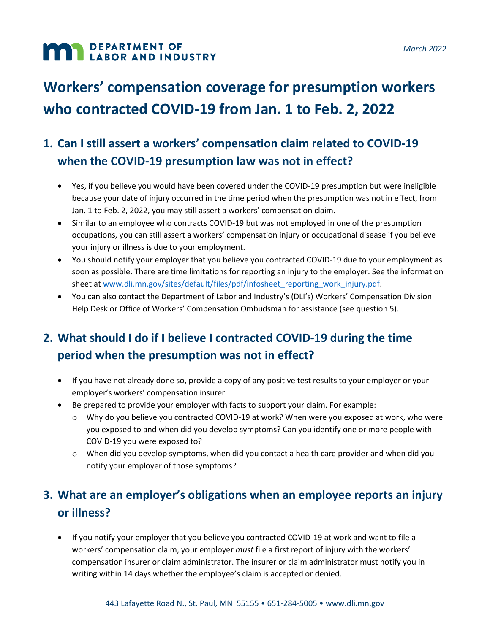# **MAN DEPARTMENT OF LABOR AND INDUSTRY**

# **Workers' compensation coverage for presumption workers who contracted COVID-19 from Jan. 1 to Feb. 2, 2022**

### **1. Can I still assert a workers' compensation claim related to COVID-19 when the COVID-19 presumption law was not in effect?**

- Yes, if you believe you would have been covered under the COVID-19 presumption but were ineligible because your date of injury occurred in the time period when the presumption was not in effect, from Jan. 1 to Feb. 2, 2022, you may still assert a workers' compensation claim.
- Similar to an employee who contracts COVID-19 but was not employed in one of the presumption occupations, you can still assert a workers' compensation injury or occupational disease if you believe your injury or illness is due to your employment.
- You should notify your employer that you believe you contracted COVID-19 due to your employment as soon as possible. There are time limitations for reporting an injury to the employer. See the information sheet a[t www.dli.mn.gov/sites/default/files/pdf/infosheet\\_reporting\\_work\\_injury.pdf.](http://www.dli.mn.gov/sites/default/files/pdf/infosheet_reporting_work_injury.pdf)
- You can also contact the Department of Labor and Industry's (DLI's) Workers' Compensation Division Help Desk or Office of Workers' Compensation Ombudsman for assistance (see question 5).

## **2. What should I do if I believe I contracted COVID-19 during the time period when the presumption was not in effect?**

- If you have not already done so, provide a copy of any positive test results to your employer or your employer's workers' compensation insurer.
- Be prepared to provide your employer with facts to support your claim. For example:
	- o Why do you believe you contracted COVID-19 at work? When were you exposed at work, who were you exposed to and when did you develop symptoms? Can you identify one or more people with COVID-19 you were exposed to?
	- $\circ$  When did you develop symptoms, when did you contact a health care provider and when did you notify your employer of those symptoms?

### **3. What are an employer's obligations when an employee reports an injury or illness?**

• If you notify your employer that you believe you contracted COVID-19 at work and want to file a workers' compensation claim, your employer *must* file a first report of injury with the workers' compensation insurer or claim administrator. The insurer or claim administrator must notify you in writing within 14 days whether the employee's claim is accepted or denied.